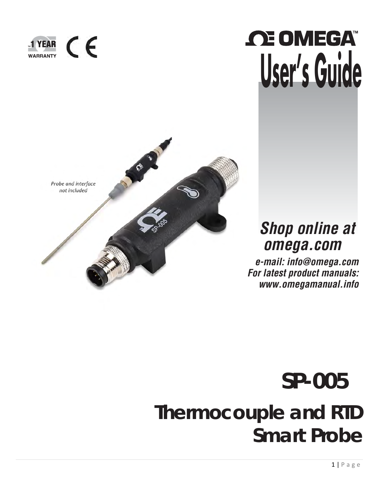

# *CE OMEGA* **User's Guide**



## *Shop online at omega.com*

*[e-mail: info@omega.com](mailto:info@omega.com) For latest product manuals: [www.omegamanual.info](http://www.omegamanual.info/)*

# **SP-005 Thermocouple and RTD Smart Probe**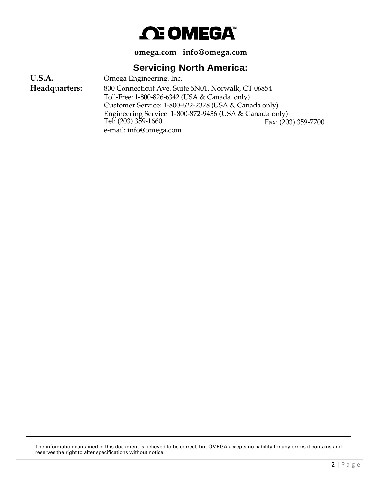## *C***E OMEGA**

**omega.com [info@omega.com](mailto:info@omega.com)**

## **Servicing North America:**

Omega Engineering, Inc. 800 Connecticut Ave. Suite 5N01, Norwalk, CT 06854 Toll-Free: 1-800-826-6342 (USA & Canada only) Customer Service: 1-800-622-2378 (USA & Canada only) Engineering Service: 1-800-872-9436 (USA & Canada only) **U.S.A. Headquarters:** Tel: (203) 359-1660 e-mail: [info@omega.com](mailto:info@omega.com) Fax: (203) 359-7700

The information contained in this document is believed to be correct, but OMEGA accepts no liability for any errors it contains and reserves the right to alter specifications without notice.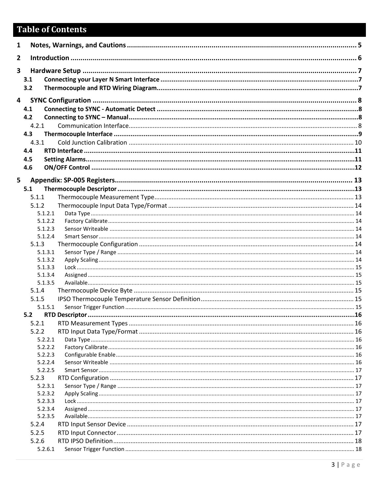## **Table of Contents**

| $\mathbf{1}$ |                    |  |
|--------------|--------------------|--|
| $\mathbf{2}$ |                    |  |
| 3            |                    |  |
|              | 3.1                |  |
|              | 3.2                |  |
| 4            |                    |  |
|              | 4.1                |  |
|              | 4.2                |  |
|              | 4.2.1              |  |
|              | 4.3                |  |
|              | 4.3.1              |  |
|              | 4.4                |  |
|              | 4.5                |  |
|              | 4.6                |  |
| 5            |                    |  |
|              | 5.1                |  |
|              | 5.1.1              |  |
|              | 5.1.2              |  |
|              | 5.1.2.1            |  |
|              | 5.1.2.2            |  |
|              | 5.1.2.3            |  |
|              | 5.1.2.4            |  |
|              | 5.1.3              |  |
|              | 5.1.3.1            |  |
|              | 5.1.3.2            |  |
|              | 5.1.3.3<br>5.1.3.4 |  |
|              | 5.1.3.5            |  |
|              | 5.1.4              |  |
|              | 5.1.5              |  |
|              | 5.1.5.1            |  |
|              | 5.2                |  |
|              | 5.2.1              |  |
|              | 5.2.2              |  |
|              | 5.2.2.1            |  |
|              | 5.2.2.2            |  |
|              | 5.2.2.3            |  |
|              | 5.2.2.4            |  |
|              | 5.2.2.5            |  |
|              | 5.2.3              |  |
|              | 5.2.3.1            |  |
|              | 5.2.3.2            |  |
|              | 5.2.3.3<br>5.2.3.4 |  |
|              | 5.2.3.5            |  |
|              | 5.2.4              |  |
|              | 5.2.5              |  |
|              | 5.2.6              |  |
|              | 5.2.6.1            |  |
|              |                    |  |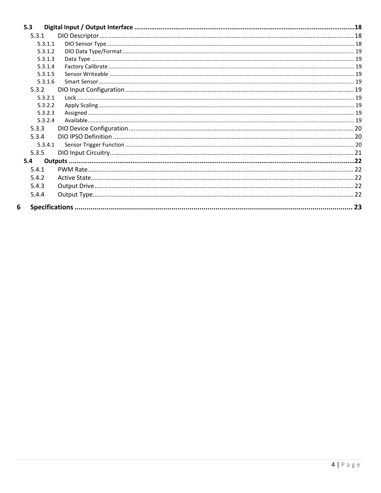| 5.3     |  |
|---------|--|
| 5.3.1   |  |
| 5.3.1.1 |  |
| 5.3.1.2 |  |
| 5.3.1.3 |  |
| 5.3.1.4 |  |
| 5.3.1.5 |  |
| 5.3.1.6 |  |
| 5.3.2   |  |
| 5.3.2.1 |  |
| 5.3.2.2 |  |
| 5.3.2.3 |  |
| 5.3.2.4 |  |
| 5.3.3   |  |
| 5.3.4   |  |
| 5.3.4.1 |  |
| 5.3.5   |  |
| 5.4     |  |
| 5.4.1   |  |
| 5.4.2   |  |
| 5.4.3   |  |
| 5.4.4   |  |
| 6       |  |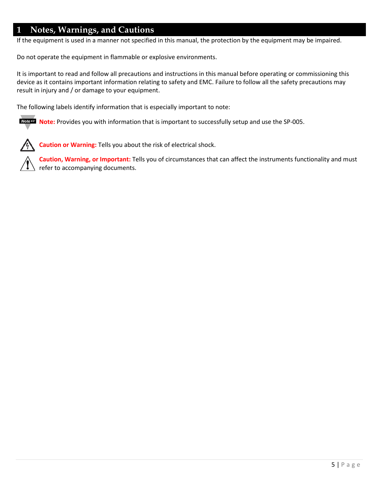## <span id="page-4-0"></span>**1 Notes, Warnings, and Cautions**

If the equipment is used in a manner not specified in this manual, the protection by the equipment may be impaired.

Do not operate the equipment in flammable or explosive environments.

It is important to read and follow all precautions and instructions in this manual before operating or commissioning this device as it contains important information relating to safety and EMC. Failure to follow all the safety precautions may result in injury and / or damage to your equipment.

The following labels identify information that is especially important to note:

**Note:** Provides you with information that is important to successfully setup and use the SP-005.



**Caution or Warning:** Tells you about the risk of electrical shock.

**Caution, Warning, or Important:** Tells you of circumstances that can affect the instruments functionality and must refer to accompanying documents.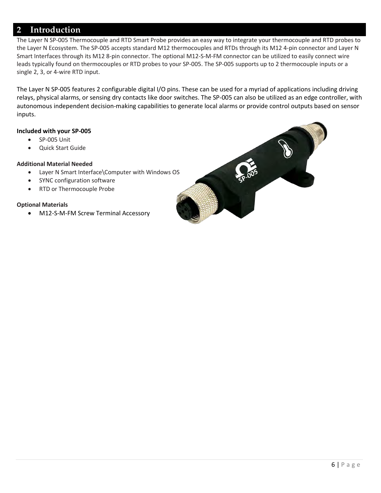## <span id="page-5-0"></span>**2 Introduction**

The Layer N SP-005 Thermocouple and RTD Smart Probe provides an easy way to integrate your thermocouple and RTD probes to the Layer N Ecosystem. The SP-005 accepts standard M12 thermocouples and RTDs through its M12 4-pin connector and Layer N Smart Interfaces through its M12 8-pin connector. The optional M12-S-M-FM connector can be utilized to easily connect wire leads typically found on thermocouples or RTD probes to your SP-005. The SP-005 supports up to 2 thermocouple inputs or a single 2, 3, or 4-wire RTD input.

The Layer N SP-005 features 2 configurable digital I/O pins. These can be used for a myriad of applications including driving relays, physical alarms, or sensing dry contacts like door switches. The SP-005 can also be utilized as an edge controller, with autonomous independent decision-making capabilities to generate local alarms or provide control outputs based on sensor inputs.

#### **Included with your SP-005**

- SP-005 Unit
- Quick Start Guide

#### **Additional Material Needed**

- Layer N Smart Interface\Computer with Windows OS
- SYNC configuration software
- RTD or Thermocouple Probe

#### **Optional Materials**

• M12-S-M-FM Screw Terminal Accessory

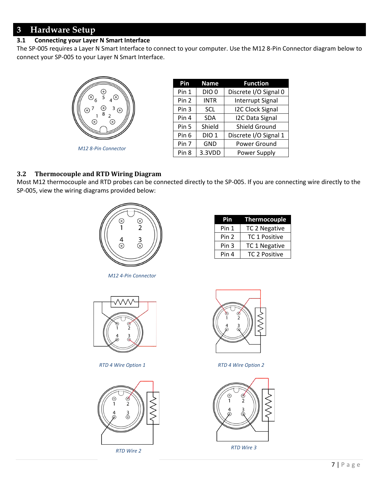## <span id="page-6-0"></span>**3 Hardware Setup**

### <span id="page-6-1"></span>**3.1 Connecting your Layer N Smart Interface**

The SP-005 requires a Layer N Smart Interface to connect to your computer. Use the M12 8-Pin Connector diagram below to connect your SP-005 to your Layer N Smart Interface.



| Pin              | <b>Name</b>      | <b>Function</b>         |
|------------------|------------------|-------------------------|
| Pin 1            | DIO <sub>0</sub> | Discrete I/O Signal 0   |
| Pin 2            | <b>INTR</b>      | <b>Interrupt Signal</b> |
| Pin 3            | <b>SCL</b>       | <b>I2C Clock Signal</b> |
| Pin 4            | <b>SDA</b>       | <b>I2C Data Signal</b>  |
| Pin 5            | Shield           | Shield Ground           |
| Pin 6            | <b>DIO1</b>      | Discrete I/O Signal 1   |
| Pin 7            | <b>GND</b>       | Power Ground            |
| Pin <sub>8</sub> | 3.3VDD           | Power Supply            |

#### <span id="page-6-2"></span>**3.2 Thermocouple and RTD Wiring Diagram**

Most M12 thermocouple and RTD probes can be connected directly to the SP-005. If you are connecting wire directly to the SP-005, view the wiring diagrams provided below:



*M12 4-Pin Connector*

| Pin              | Thermocouple         |
|------------------|----------------------|
| Pin 1            | TC 2 Negative        |
| Pin <sub>2</sub> | <b>TC 1 Positive</b> |
| Pin <sub>3</sub> | TC 1 Negative        |
| Pin 4            | <b>TC 2 Positive</b> |
|                  |                      |



*RTD 4 Wire Option 1 RTD 4 Wire Option 2*





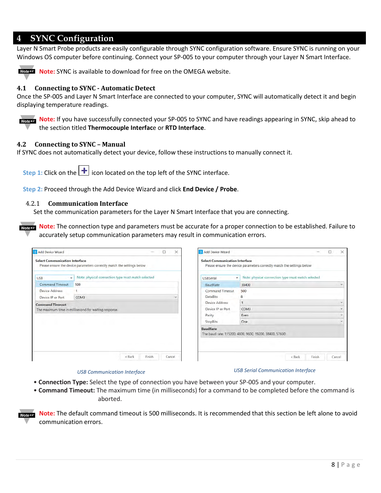### <span id="page-7-0"></span>**4 SYNC Configuration**

Layer N Smart Probe products are easily configurable through SYNC configuration software. Ensure SYNC is running on your Windows OS computer before continuing. Connect your SP-005 to your computer through your Layer N Smart Interface.



**Note: Note:** SYNC is available to download for free on the OMEGA website.

#### <span id="page-7-1"></span>**4.1 Connecting to SYNC - Automatic Detect**

Once the SP-005 and Layer N Smart Interface are connected to your computer, SYNC will automatically detect it and begin displaying temperature readings.

Noter **Note:** If you have successfully connected your SP-005 to SYNC and have readings appearing in SYNC, skip ahead to the section titled **Thermocouple Interfac**e or **RTD Interface**.

#### <span id="page-7-2"></span>**4.2 Connecting to SYNC – Manual**

If SYNC does not automatically detect your device, follow these instructions to manually connect it.

**Step 1:** Click on the  $|\mathbf{+}|$  icon located on the top left of the SYNC interface.

<span id="page-7-3"></span>**Step 2:** Proceed through the Add Device Wizard and click **End Device / Probe**.

#### 4.2.1 **Communication Interface**

Set the communication parameters for the Layer N Smart Interface that you are connecting.

**Note: Note:** The connection type and parameters must be accurate for a proper connection to be established. Failure to accurately setup communication parameters may result in communication errors.

| Add Device Wizard                     |                                                                        |        | ×      | <b>5</b> Add Device Wizard                |                                                                        |        | □      | $\times$        |
|---------------------------------------|------------------------------------------------------------------------|--------|--------|-------------------------------------------|------------------------------------------------------------------------|--------|--------|-----------------|
| <b>Select Communication Interface</b> | Please ensure the device parameters correctly match the settings below |        |        | <b>Select Communication Interface</b>     | Please ensure the device parameters correctly match the settings below |        |        |                 |
| <b>USB</b><br>۰                       | Note: physical connection type must match selected                     |        |        | <b>USBSerial</b>                          | Note: physical connection type must match selected<br>$\bullet$        |        |        |                 |
| Command Timeout                       | 500                                                                    |        |        | BaudRate                                  | 38400                                                                  |        |        | $\lambda\neq 0$ |
| Device Address                        | 1                                                                      |        |        | <b>Command Timeout</b><br><b>DataBits</b> | 500                                                                    |        |        |                 |
| Device IP or Port                     | COM3                                                                   |        |        |                                           | 8                                                                      |        |        |                 |
| <b>Command Timeout</b>                |                                                                        |        |        | Device Address                            | ٦                                                                      |        |        |                 |
|                                       | The maximum time in millisecond for waiting response.                  |        |        | Device IP or Port                         | COM3                                                                   |        |        |                 |
|                                       |                                                                        |        |        | Parity                                    | Even                                                                   |        |        | $\sim$          |
|                                       |                                                                        |        |        | StopBits                                  | One                                                                    |        |        |                 |
|                                       |                                                                        |        |        | <b>BaudRate</b>                           | The baud rate: 115200, 4800, 9600, 19200, 38400, 57600                 |        |        |                 |
|                                       | $<$ Back                                                               | Finish | Cancel |                                           | $<$ Back                                                               | Finish | Cancel |                 |

#### *USB Communication Interface USB Serial Communication Interface*

- **Connection Type:** Select the type of connection you have between your SP-005 and your computer.
- **Command Timeout:** The maximum time (in milliseconds) for a command to be completed before the command is aborted.

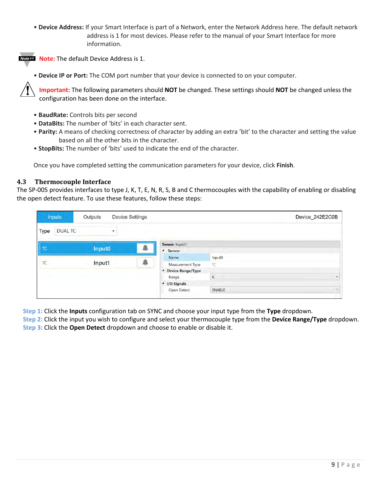• **Device Address:** If your Smart Interface is part of a Network, enter the Network Address here. The default network address is 1 for most devices. Please refer to the manual of your Smart Interface for more information.



**Note:** The default Device Address is 1.

• **Device IP or Port:** The COM port number that your device is connected to on your computer.

**Important:** The following parameters should **NOT** be changed. These settings should **NOT** be changed unless the configuration has been done on the interface.

- **BaudRate:** Controls bits per second
- **DataBits:** The number of 'bits' in each character sent.
- **Parity:** A means of checking correctness of character by adding an extra 'bit' to the character and setting the value based on all the other bits in the character.
- **StopBits:** The number of 'bits' used to indicate the end of the character.

Once you have completed setting the communication parameters for your device, click **Finish**.

#### <span id="page-8-0"></span>**4.3 Thermocouple Interface**

The SP-005 provides interfaces to type J, K, T, E, N, R, S, B and C thermocouples with the capability of enabling or disabling the open detect feature. To use these features, follow these steps:

|             | <b>Inputs</b>  | Outputs            |                    | <b>Device Settings</b> |                                                                    |                      | Device_242E2C0B |
|-------------|----------------|--------------------|--------------------|------------------------|--------------------------------------------------------------------|----------------------|-----------------|
| <b>Type</b> | <b>DUAL TC</b> |                    | $\pmb{\mathrm{v}}$ |                        |                                                                    |                      |                 |
| TC          |                | Input <sub>0</sub> |                    | ÷                      | Sensor Input0<br><sup>4</sup> Sensor                               |                      |                 |
| TC          |                | Input1             |                    | ۰                      | Name                                                               | Input <sub>0</sub>   |                 |
|             |                |                    |                    |                        | <b>Measurement Type</b><br><sup>4</sup> Device Range/Type<br>Range | TC<br>$\overline{K}$ | $\checkmark$    |
|             |                |                    |                    |                        | 4 I/O Signals                                                      |                      |                 |
|             |                |                    |                    |                        | Open Detect                                                        | <b>ENABLE</b>        | $\backsim$      |

**Step 1:** Click the **Inputs** configuration tab on SYNC and choose your input type from the **Type** dropdown.

**Step 2:** Click the input you wish to configure and select your thermocouple type from the **Device Range/Type** dropdown. **Step 3:** Click the **Open Detect** dropdown and choose to enable or disable it.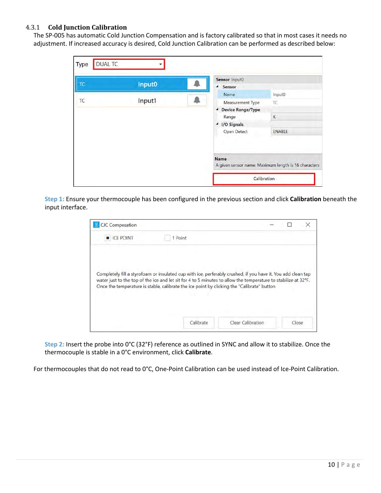#### <span id="page-9-0"></span>4.3.1 **Cold Junction Calibration**

The SP-005 has automatic Cold Junction Compensation and is factory calibrated so that in most cases it needs no adjustment. If increased accuracy is desired, Cold Junction Calibration can be performed as described below:

| <b>TC</b> | Input0 | Sensor Input0                                                       |               |
|-----------|--------|---------------------------------------------------------------------|---------------|
|           |        | Sensor<br>$\overline{ }$                                            |               |
|           |        | Name                                                                | Input0        |
|           | Input1 | <b>Measurement Type</b>                                             | TC            |
|           |        | <b>Device Range/Type</b><br>٠                                       |               |
|           |        | Range                                                               | K             |
|           |        | <b>I/O Signals</b><br>٠                                             |               |
|           |        | <b>Open Detect</b>                                                  | <b>ENABLE</b> |
|           |        | <b>Name</b><br>A given sensor name. Maximum length is 16 characters |               |

**Step 1:** Ensure your thermocouple has been configured in the previous section and click **Calibration** beneath the input interface.

| <b>E</b> ICE POINT | 1 Point                                                                                                                                                                                                      |  |  |
|--------------------|--------------------------------------------------------------------------------------------------------------------------------------------------------------------------------------------------------------|--|--|
|                    | Completely fill a styrofoam or insulated cup with ice, perferably crushed, if you have it. You add clean tap                                                                                                 |  |  |
|                    | water just to the top of the ice and let sit for 4 to 5 minutes to allow the temperature to stabilize at 32°F.<br>Once the temperature is stable, calibrate the ice point by clicking the "Calibrate" button |  |  |

**Step 2:** Insert the probe into 0°C (32°F) reference as outlined in SYNC and allow it to stabilize. Once the thermocouple is stable in a 0°C environment, click **Calibrate**.

For thermocouples that do not read to 0°C, One-Point Calibration can be used instead of Ice-Point Calibration.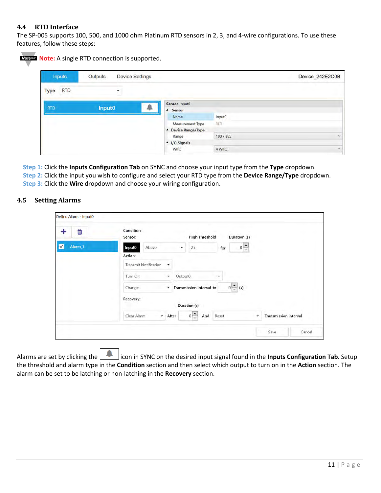#### <span id="page-10-0"></span>**4.4 RTD Interface**

The SP-005 supports 100, 500, and 1000 ohm Platinum RTD sensors in 2, 3, and 4-wire configurations. To use these features, follow these steps:

| <b>Inputs</b>             | Outputs |   | <b>Device Settings</b> |                                |                    | Device_242E2C0B |
|---------------------------|---------|---|------------------------|--------------------------------|--------------------|-----------------|
| <b>RTD</b><br><b>Type</b> |         | ۰ |                        |                                |                    |                 |
| <b>RTD</b>                | Input0  |   |                        | Sensor Input0<br>▲ Sensor      |                    |                 |
|                           |         |   |                        | Name                           | Input <sub>0</sub> |                 |
|                           |         |   |                        | Measurement Type               | <b>RTD</b>         |                 |
|                           |         |   |                        | <sup>4</sup> Device Range/Type |                    |                 |
|                           |         |   |                        | Range                          | 100 / 385          |                 |
|                           |         |   |                        | ▲ I/O Signals                  |                    |                 |
|                           |         |   |                        | <b>WIRE</b>                    | 4 WIRE             |                 |

**Step 1:** Click the **Inputs Configuration Tab** on SYNC and choose your input type from the **Type** dropdown. **Step 2:** Click the input you wish to configure and select your RTD type from the **Device Range/Type** dropdown. **Step 3:** Click the **Wire** dropdown and choose your wiring configuration.

#### <span id="page-10-1"></span>**4.5 Setting Alarms**

| û                       | Condition:<br><b>High Threshold</b><br>Duration (s)<br>Sensor:                                      |
|-------------------------|-----------------------------------------------------------------------------------------------------|
| V<br>Alarm <sub>1</sub> | $0 \frac{\star}{\star}$<br>Above<br>Input0<br>25<br>for<br>۰                                        |
|                         | Action:                                                                                             |
|                         | <b>Transmit Notification</b><br>٠                                                                   |
|                         | Output0<br>$\overline{\phantom{a}}$<br>Tum On<br>٠                                                  |
|                         | $0\frac{\bullet}{\bullet}$<br>Transmission interval to<br>Change<br>(s)<br>$\overline{\phantom{a}}$ |
|                         | Recovery:<br>Duration (s)                                                                           |
|                         | $0 \triangleq$<br>Clear Alarm<br>And<br><b>Transmission interval</b><br>After<br>Reset<br>٠<br>۰    |

Alarms are set by clicking the **interpreneus SYNC** on the desired input signal found in the **Inputs Configuration Tab**. Setup the threshold and alarm type in the **Condition** section and then select which output to turn on in the **Action** section. The alarm can be set to be latching or non-latching in the **Recovery** section.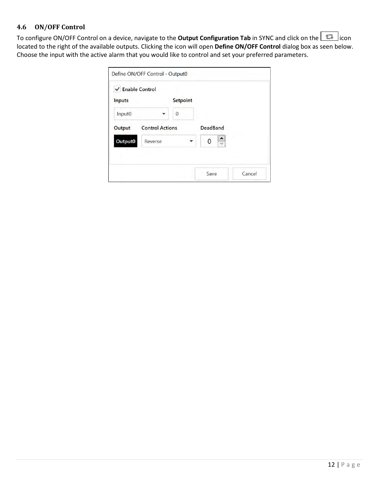### <span id="page-11-0"></span>**4.6 ON/OFF Control**

To configure ON/OFF Control on a device, navigate to the **Output Configuration Tab** in SYNC and click on the  $\boxed{1}$  icon located to the right of the available outputs. Clicking the icon will open **Define ON/OFF Control** dialog box as seen below. Choose the input with the active alarm that you would like to control and set your preferred parameters.

| √ Enable Control |                        |                 |                 |  |
|------------------|------------------------|-----------------|-----------------|--|
| <b>Inputs</b>    |                        | <b>Setpoint</b> |                 |  |
| Input0           |                        | 0               |                 |  |
| Output           | <b>Control Actions</b> |                 | <b>DeadBand</b> |  |
| Output0          | Reverse                |                 | ᄉ<br>0<br>u     |  |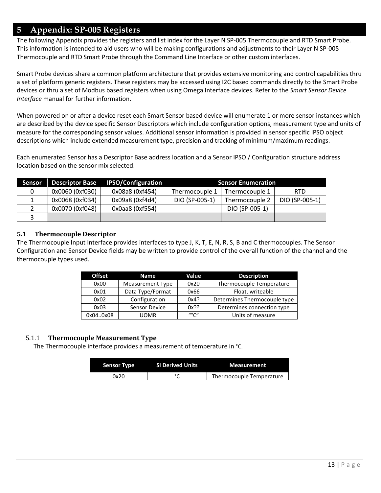## <span id="page-12-0"></span>**5 Appendix: SP-005 Registers**

The following Appendix provides the registers and list index for the Layer N SP-005 Thermocouple and RTD Smart Probe. This information is intended to aid users who will be making configurations and adjustments to their Layer N SP-005 Thermocouple and RTD Smart Probe through the Command Line Interface or other custom interfaces.

Smart Probe devices share a common platform architecture that provides extensive monitoring and control capabilities thru a set of platform generic registers. These registers may be accessed using I2C based commands directly to the Smart Probe devices or thru a set of Modbus based registers when using Omega Interface devices. Refer to the *Smart Sensor Device Interface* manual for further information.

When powered on or after a device reset each Smart Sensor based device will enumerate 1 or more sensor instances which are described by the device specific Sensor Descriptors which include configuration options, measurement type and units of measure for the corresponding sensor values. Additional sensor information is provided in sensor specific IPSO object descriptions which include extended measurement type, precision and tracking of minimum/maximum readings.

Each enumerated Sensor has a Descriptor Base address location and a Sensor IPSO / Configuration structure address location based on the sensor mix selected.

| <b>Sensor</b> | <b>Descriptor Base</b> | <b>IPSO/Configuration</b> |                | <b>Sensor Enumeration</b> |                |
|---------------|------------------------|---------------------------|----------------|---------------------------|----------------|
|               | 0x0060 (0xf030)        | 0x08a8 (0xf454)           | Thermocouple 1 | Thermocouple 1            | <b>RTD</b>     |
|               | 0x0068 (0xf034)        | 0x09a8 (0xf4d4)           | DIO (SP-005-1) | Thermocouple 2            | DIO (SP-005-1) |
|               | 0x0070 (0xf048)        | 0x0aa8 (0xf554)           |                | DIO (SP-005-1)            |                |
|               |                        |                           |                |                           |                |

#### <span id="page-12-1"></span>**5.1 Thermocouple Descriptor**

The Thermocouple Input Interface provides interfaces to type J, K, T, E, N, R, S, B and C thermocouples. The Sensor Configuration and Sensor Device fields may be written to provide control of the overall function of the channel and the thermocouple types used.

| <b>Offset</b> | <b>Name</b>      |         | <b>Description</b>           |
|---------------|------------------|---------|------------------------------|
| 0x00          | Measurement Type | 0x20    | Thermocouple Temperature     |
| 0x01          | Data Type/Format |         | Float, writeable             |
| 0x02          | Configuration    | 0x4?    | Determines Thermocouple type |
| 0x03          | Sensor Device    | $0x$ ?? | Determines connection type   |
| 0x040x08      | UOMR             |         | Units of measure             |

#### <span id="page-12-2"></span>5.1.1 **Thermocouple Measurement Type**

The Thermocouple interface provides a measurement of temperature in °C.

| <b>Sensor Type</b> | <b>SI Derived Units</b> | <b>Measurement</b>       |
|--------------------|-------------------------|--------------------------|
| 0x20               |                         | Thermocouple Temperature |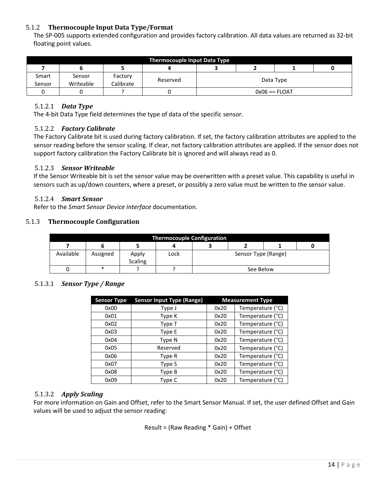#### <span id="page-13-0"></span>5.1.2 **Thermocouple Input Data Type/Format**

The SP-005 supports extended configuration and provides factory calibration. All data values are returned as 32-bit floating point values.

| <b>Thermocouple Input Data Type</b> |           |           |  |                       |  |  |  |  |  |  |  |
|-------------------------------------|-----------|-----------|--|-----------------------|--|--|--|--|--|--|--|
|                                     |           |           |  |                       |  |  |  |  |  |  |  |
| Smart                               | Sensor    | Factory   |  |                       |  |  |  |  |  |  |  |
| Sensor                              | Writeable | Calibrate |  | Data Type<br>Reserved |  |  |  |  |  |  |  |
|                                     |           |           |  | $0x06 == FLOAT$       |  |  |  |  |  |  |  |

#### <span id="page-13-1"></span>5.1.2.1 *Data Type*

<span id="page-13-2"></span>The 4-bit Data Type field determines the type of data of the specific sensor.

#### 5.1.2.2 *Factory Calibrate*

The Factory Calibrate bit is used during factory calibration. If set, the factory calibration attributes are applied to the sensor reading before the sensor scaling. If clear, not factory calibration attributes are applied. If the sensor does not support factory calibration the Factory Calibrate bit is ignored and will always read as 0.

#### <span id="page-13-3"></span>5.1.2.3 *Sensor Writeable*

If the Sensor Writeable bit is set the sensor value may be overwritten with a preset value. This capability is useful in sensors such as up/down counters, where a preset, or possibly a zero value must be written to the sensor value.

#### <span id="page-13-4"></span>5.1.2.4 *Smart Sensor*

Refer to the *Smart Sensor Device Interface* documentation.

#### <span id="page-13-5"></span>5.1.3 **Thermocouple Configuration**

| <b>Thermocouple Configuration</b> |          |                         |      |                     |           |  |  |  |  |  |
|-----------------------------------|----------|-------------------------|------|---------------------|-----------|--|--|--|--|--|
|                                   |          |                         |      |                     |           |  |  |  |  |  |
| Available                         | Assigned | Apply<br><b>Scaling</b> | Lock | Sensor Type (Range) |           |  |  |  |  |  |
|                                   | *        |                         |      |                     | See Below |  |  |  |  |  |

#### <span id="page-13-6"></span>5.1.3.1 *Sensor Type / Range*

| <b>Sensor Type</b> | <b>Sensor Input Type (Range)</b> |      | <b>Measurement Type</b> |
|--------------------|----------------------------------|------|-------------------------|
| 0x00               | Type J                           | 0x20 | Temperature (°C)        |
| 0x01               | Type K                           | 0x20 | Temperature (°C)        |
| 0x02               | Type T                           | 0x20 | Temperature (°C)        |
| 0x03               | Type E                           | 0x20 | Temperature (°C)        |
| 0x04               | Type N                           | 0x20 | Temperature (°C)        |
| 0x05               | Reserved                         | 0x20 | Temperature (°C)        |
| 0x06               | Type R                           | 0x20 | Temperature (°C)        |
| 0x07               | Type S                           | 0x20 | Temperature (°C)        |
| 0x08               | Type B                           | 0x20 | Temperature (°C)        |
| 0x09               | Type C                           | 0x20 | Temperature (°C)        |

#### <span id="page-13-7"></span>5.1.3.2 *Apply Scaling*

For more information on Gain and Offset, refer to the Smart Sensor Manual. If set, the user defined Offset and Gain values will be used to adjust the sensor reading:

Result = (Raw Reading \* Gain) + Offset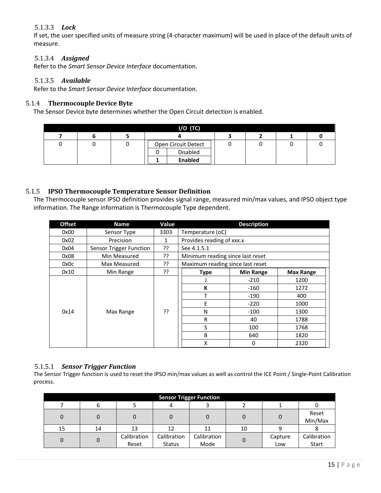#### <span id="page-14-0"></span>5.1.3.3 *Lock*

If set, the user specified units of measure string (4-character maximum) will be used in place of the default units of measure.

#### <span id="page-14-1"></span>5.1.3.4 *Assigned*

<span id="page-14-2"></span>Refer to the *Smart Sensor Device Interface* documentation.

#### 5.1.3.5 *Available*

Refer to the *Smart Sensor Device Interface* documentation.

#### <span id="page-14-3"></span>5.1.4 **Thermocouple Device Byte**

The Sensor Device byte determines whether the Open Circuit detection is enabled.

| $I/O$ (TC) |  |  |                     |  |  |  |  |  |  |  |  |  |
|------------|--|--|---------------------|--|--|--|--|--|--|--|--|--|
|            |  |  |                     |  |  |  |  |  |  |  |  |  |
|            |  |  | Open Circuit Detect |  |  |  |  |  |  |  |  |  |
|            |  |  | Disabled            |  |  |  |  |  |  |  |  |  |
|            |  |  | <b>Enabled</b>      |  |  |  |  |  |  |  |  |  |

#### <span id="page-14-4"></span>5.1.5 **IPSO Thermocouple Temperature Sensor Definition**

The Thermocouple sensor IPSO definition provides signal range, measured min/max values, and IPSO object type information. The Range information is Thermocouple Type dependent.

| <b>Offset</b> | <b>Name</b>             | Value |                                  | <b>Description</b> |                  |
|---------------|-------------------------|-------|----------------------------------|--------------------|------------------|
| 0x00          | Sensor Type             | 3303  | Temperature (oC)                 |                    |                  |
| 0x02          | Precision               | 1     | Provides reading of xxx.x        |                    |                  |
| 0x04          | Sensor Trigger Function | ??    | See 4.1.5.1                      |                    |                  |
| 0x08          | Min Measured            | ??    | Minimum reading since last reset |                    |                  |
| 0x0c          | Max Measured            | ??    | Maximum reading since last reset |                    |                  |
| 0x10          | Min Range               | ??    | <b>Type</b>                      | <b>Min Range</b>   | <b>Max Range</b> |
|               |                         |       |                                  | $-210$             | 1200             |
|               |                         |       | К                                | $-160$             | 1272             |
|               |                         |       | т                                | -190               | 400              |
|               |                         |       | E                                | $-220$             | 1000             |
| 0x14          | Max Range               | ??    | N                                | $-100$             | 1300             |
|               |                         |       | R                                | 40                 | 1788             |
|               |                         |       | S                                | 100                | 1768             |
|               |                         |       | B                                | 640                | 1820             |
|               |                         |       | x                                | 0                  | 2320             |

#### <span id="page-14-5"></span>5.1.5.1 *Sensor Trigger Function*

The Sensor Trigger function is used to reset the IPSO min/max values as well as control the ICE Point / Single-Point Calibration process.

| <b>Sensor Trigger Function</b> |    |                      |                              |                     |    |                |                      |  |  |  |  |  |
|--------------------------------|----|----------------------|------------------------------|---------------------|----|----------------|----------------------|--|--|--|--|--|
|                                |    |                      | 4                            |                     |    |                |                      |  |  |  |  |  |
| 0                              |    |                      |                              |                     |    |                | Reset<br>Min/Max     |  |  |  |  |  |
| 15                             | 14 | 13                   | 12                           | 11                  | 10 | q              |                      |  |  |  |  |  |
| 0                              |    | Calibration<br>Reset | Calibration<br><b>Status</b> | Calibration<br>Mode |    | Capture<br>Low | Calibration<br>Start |  |  |  |  |  |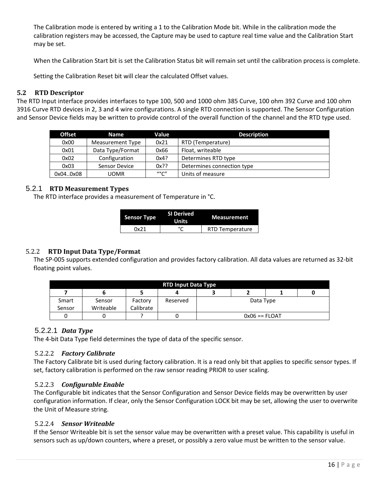<span id="page-15-7"></span>The Calibration mode is entered by writing a 1 to the Calibration Mode bit. While in the calibration mode the calibration registers may be accessed, the Capture may be used to capture real time value and the Calibration Start may be set.

When the Calibration Start bit is set the Calibration Status bit will remain set until the calibration process is complete.

Setting the Calibration Reset bit will clear the calculated Offset values.

#### <span id="page-15-0"></span>**5.2 RTD Descriptor**

The RTD Input interface provides interfaces to type 100, 500 and 1000 ohm 385 Curve, 100 ohm 392 Curve and 100 ohm 3916 Curve RTD devices in 2, 3 and 4 wire configurations. A single RTD connection is supported. The Sensor Configuration and Sensor Device fields may be written to provide control of the overall function of the channel and the RTD type used.

| <b>Offset</b> | <b>Name</b>      | Value   | <b>Description</b>         |
|---------------|------------------|---------|----------------------------|
| 0x00          | Measurement Type | 0x21    | RTD (Temperature)          |
| 0x01          | Data Type/Format | 0x66    | Float, writeable           |
| 0x02          | Configuration    | 0x4?    | Determines RTD type        |
| 0x03          | Sensor Device    | $0x$ ?? | Determines connection type |
| 0x040x08      | UOMR             | "°C"    | Units of measure           |

#### 5.2.1 **RTD Measurement Types**

<span id="page-15-1"></span>The RTD interface provides a measurement of Temperature in °C.

| <b>Sensor Type</b> | <b>SI Derived</b><br>Units | <b>Measurement</b>     |  |
|--------------------|----------------------------|------------------------|--|
| Nx21               |                            | <b>RTD Temperature</b> |  |

#### <span id="page-15-2"></span>5.2.2 **RTD Input Data Type/Format**

The SP-005 supports extended configuration and provides factory calibration. All data values are returned as 32-bit floating point values.

| <b>RTD Input Data Type</b> |           |           |          |                 |  |  |  |  |  |  |  |
|----------------------------|-----------|-----------|----------|-----------------|--|--|--|--|--|--|--|
|                            |           |           |          |                 |  |  |  |  |  |  |  |
| Smart                      | Sensor    | Factory   | Reserved | Data Type       |  |  |  |  |  |  |  |
| Sensor                     | Writeable | Calibrate |          |                 |  |  |  |  |  |  |  |
|                            |           |           | υ        | $0x06 == FLOAT$ |  |  |  |  |  |  |  |

#### <span id="page-15-3"></span>5.2.2.1 *Data Type*

<span id="page-15-4"></span>The 4-bit Data Type field determines the type of data of the specific sensor.

#### 5.2.2.2 *Factory Calibrate*

The Factory Calibrate bit is used during factory calibration. It is a read only bit that applies to specific sensor types. If set, factory calibration is performed on the raw sensor reading PRIOR to user scaling.

#### <span id="page-15-5"></span>5.2.2.3 *Configurable Enable*

The Configurable bit indicates that the Sensor Configuration and Sensor Device fields may be overwritten by user configuration information. If clear, only the Sensor Configuration LOCK bit may be set, allowing the user to overwrite the Unit of Measure string.

#### <span id="page-15-6"></span>5.2.2.4 *Sensor Writeable*

If the Sensor Writeable bit is set the sensor value may be overwritten with a preset value. This capability is useful in sensors such as up/down counters, where a preset, or possibly a zero value must be written to the sensor value.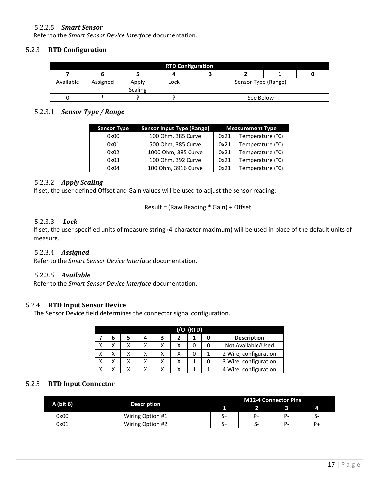#### 5.2.2.5 *Smart Sensor*

Refer to the *Smart Sensor Device Interface* documentation.

#### <span id="page-16-0"></span>5.2.3 **RTD Configuration**

| <b>RTD Configuration</b> |          |                         |      |                     |           |  |  |  |  |  |  |
|--------------------------|----------|-------------------------|------|---------------------|-----------|--|--|--|--|--|--|
|                          |          |                         |      |                     |           |  |  |  |  |  |  |
| Available                | Assigned | Apply<br><b>Scaling</b> | Lock | Sensor Type (Range) |           |  |  |  |  |  |  |
|                          | ∗        |                         |      |                     | See Below |  |  |  |  |  |  |

#### <span id="page-16-1"></span>5.2.3.1 *Sensor Type / Range*

| <b>Sensor Type</b> | <b>Sensor Input Type (Range)</b> |      | <b>Measurement Type</b> |
|--------------------|----------------------------------|------|-------------------------|
| 0x00               | 100 Ohm, 385 Curve               | 0x21 | Temperature (°C)        |
| 0x01               | 500 Ohm, 385 Curve               | 0x21 | Temperature (°C)        |
| 0x02               | 1000 Ohm, 385 Curve              | 0x21 | Temperature (°C)        |
| 0x03               | 100 Ohm, 392 Curve               | 0x21 | Temperature (°C)        |
| 0x04               | 100 Ohm, 3916 Curve              | 0x21 | Temperature (°C)        |

#### <span id="page-16-2"></span>5.2.3.2 *Apply Scaling*

If set, the user defined Offset and Gain values will be used to adjust the sensor reading:

Result = (Raw Reading \* Gain) + Offset

#### <span id="page-16-3"></span>5.2.3.3 *Lock*

If set, the user specified units of measure string (4-character maximum) will be used in place of the default units of measure.

#### <span id="page-16-4"></span>5.2.3.4 *Assigned*

<span id="page-16-5"></span>Refer to the *Smart Sensor Device Interface* documentation.

#### 5.2.3.5 *Available*

Refer to the *Smart Sensor Device Interface* documentation.

#### <span id="page-16-6"></span>5.2.4 **RTD Input Sensor Device**

The Sensor Device field determines the connector signal configuration.

| $I/O$ (RTD) |                       |   |   |  |  |  |                       |  |  |  |
|-------------|-----------------------|---|---|--|--|--|-----------------------|--|--|--|
|             |                       | 4 | 3 |  |  |  | <b>Description</b>    |  |  |  |
|             |                       |   |   |  |  |  | Not Available/Used    |  |  |  |
|             |                       |   |   |  |  |  | 2 Wire, configuration |  |  |  |
|             | 3 Wire, configuration |   |   |  |  |  |                       |  |  |  |
|             |                       |   |   |  |  |  | 4 Wire, configuration |  |  |  |

#### <span id="page-16-7"></span>5.2.5 **RTD Input Connector**

|             |                    | M12-4 Connector Pins |    |    |    |  |
|-------------|--------------------|----------------------|----|----|----|--|
| $A$ (bit 6) | <b>Description</b> |                      |    |    | 4  |  |
| 0x00        | Wiring Option #1   | S+                   | P+ | P- |    |  |
| 0x01        | Wiring Option #2   | S+                   |    | P- | P+ |  |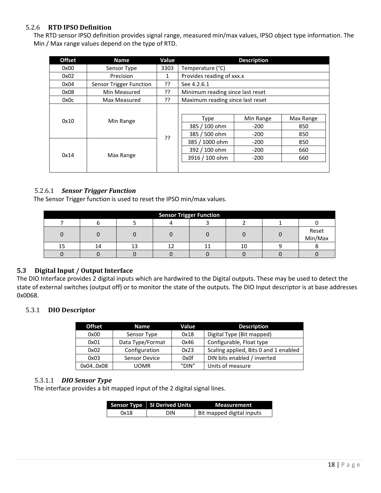#### <span id="page-17-0"></span>5.2.6 **RTD IPSO Definition**

The RTD sensor IPSO definition provides signal range, measured min/max values, IPSO object type information. The Min / Max range values depend on the type of RTD.

| <b>Offset</b> | <b>Name</b>             | Value        | <b>Description</b>                            |                               |                         |  |  |
|---------------|-------------------------|--------------|-----------------------------------------------|-------------------------------|-------------------------|--|--|
| 0x00          | Sensor Type             | 3303         | Temperature (°C)                              |                               |                         |  |  |
| 0x02          | Precision               | $\mathbf{1}$ | Provides reading of xxx.x                     |                               |                         |  |  |
| 0x04          | Sensor Trigger Function | ??           | See 4.2.6.1                                   |                               |                         |  |  |
| 0x08          | Min Measured            | ??           | Minimum reading since last reset              |                               |                         |  |  |
| 0x0c          | Max Measured            | ??           | Maximum reading since last reset              |                               |                         |  |  |
| 0x10          | Min Range               | ??           | <b>Type</b><br>385 / 100 ohm<br>385 / 500 ohm | Min Range<br>$-200$<br>$-200$ | Max Range<br>850<br>850 |  |  |
|               |                         |              | 385 / 1000 ohm<br>392 / 100 ohm               | $-200$<br>$-200$              | 850<br>660              |  |  |
| 0x14          | Max Range               |              | 3916 / 100 ohm                                | $-200$                        | 660                     |  |  |

#### <span id="page-17-1"></span>5.2.6.1 *Sensor Trigger Function*

The Sensor Trigger function is used to reset the IPSO min/max values.

| <b>Sensor Trigger Function</b> |    |  |  |  |  |  |                  |  |  |  |
|--------------------------------|----|--|--|--|--|--|------------------|--|--|--|
|                                |    |  |  |  |  |  |                  |  |  |  |
|                                |    |  |  |  |  |  | Reset<br>Min/Max |  |  |  |
| 15                             | 14 |  |  |  |  |  |                  |  |  |  |
|                                |    |  |  |  |  |  |                  |  |  |  |

#### <span id="page-17-2"></span>**5.3 Digital Input / Output Interface**

The DIO Interface provides 2 digital inputs which are hardwired to the Digital outputs. These may be used to detect the state of external switches (output off) or to monitor the state of the outputs. The DIO Input descriptor is at base addresses 0x0068.

#### <span id="page-17-3"></span>5.3.1 **DIO Descriptor**

| <b>Offset</b> | <b>Name</b>      | Value | <b>Description</b>                    |
|---------------|------------------|-------|---------------------------------------|
| 0x00          | Sensor Type      | 0x18  | Digital Type (Bit mapped)             |
| 0x01          | Data Type/Format | 0x46  | Configurable, Float type              |
| 0x02          | Configuration    | 0x23  | Scaling applied, Bits 0 and 1 enabled |
| 0x03          | Sensor Device    | 0x0f  | DIN bits enabled / inverted           |
| 0x040x08      | <b>UOMR</b>      | "DIN" | Units of measure                      |

#### <span id="page-17-4"></span>5.3.1.1 *DIO Sensor Type*

<span id="page-17-5"></span>The interface provides a bit mapped input of the 2 digital signal lines.

|      | <b>Sensor Type SI Derived Units</b> | <b>Measurement</b>        |
|------|-------------------------------------|---------------------------|
| 0x18 | DIN                                 | Bit mapped digital inputs |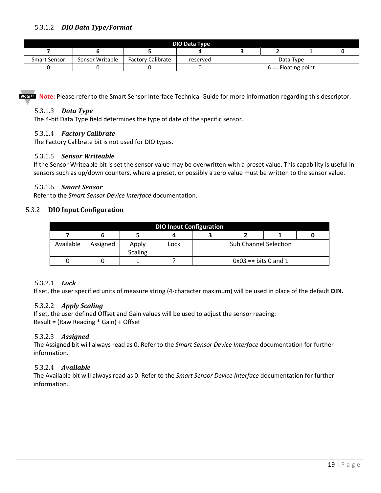| <b>DIO Data Type</b> |                       |                          |          |  |           |  |  |  |  |
|----------------------|-----------------------|--------------------------|----------|--|-----------|--|--|--|--|
|                      |                       |                          |          |  |           |  |  |  |  |
| Smart Sensor         | Sensor Writable       | <b>Factory Calibrate</b> | reserved |  | Data Type |  |  |  |  |
|                      | $6 ==$ Floating point |                          |          |  |           |  |  |  |  |

<span id="page-18-0"></span>**Note:** Please refer to the Smart Sensor Interface Technical Guide for more information regarding this descriptor.

#### 5.3.1.3 *Data Type*

<span id="page-18-1"></span>The 4-bit Data Type field determines the type of date of the specific sensor.

#### 5.3.1.4 *Factory Calibrate*

<span id="page-18-2"></span>The Factory Calibrate bit is not used for DIO types.

#### 5.3.1.5 *Sensor Writeable*

If the Sensor Writeable bit is set the sensor value may be overwritten with a preset value. This capability is useful in sensors such as up/down counters, where a preset, or possibly a zero value must be written to the sensor value.

#### <span id="page-18-3"></span>5.3.1.6 *Smart Sensor*

Refer to the *Smart Sensor Device Interface* documentation.

#### <span id="page-18-4"></span>5.3.2 **DIO Input Configuration**

|           | <b>DIO Input Configuration</b> |                         |      |  |                              |  |  |  |  |  |
|-----------|--------------------------------|-------------------------|------|--|------------------------------|--|--|--|--|--|
|           |                                |                         |      |  |                              |  |  |  |  |  |
| Available | Assigned                       | Apply<br><b>Scaling</b> | Lock |  | <b>Sub Channel Selection</b> |  |  |  |  |  |
|           |                                |                         |      |  | $0x03 == bits 0$ and 1       |  |  |  |  |  |

#### <span id="page-18-5"></span>5.3.2.1 *Lock*

<span id="page-18-6"></span>If set, the user specified units of measure string (4-character maximum) will be used in place of the default **DIN.**

#### 5.3.2.2 *Apply Scaling*

If set, the user defined Offset and Gain values will be used to adjust the sensor reading: Result = (Raw Reading \* Gain) + Offset

#### <span id="page-18-7"></span>5.3.2.3 *Assigned*

The Assigned bit will always read as 0. Refer to the *Smart Sensor Device Interface* documentation for further information.

#### <span id="page-18-8"></span>5.3.2.4 *Available*

<span id="page-18-9"></span>The Available bit will always read as 0. Refer to the *Smart Sensor Device Interface* documentation for further information.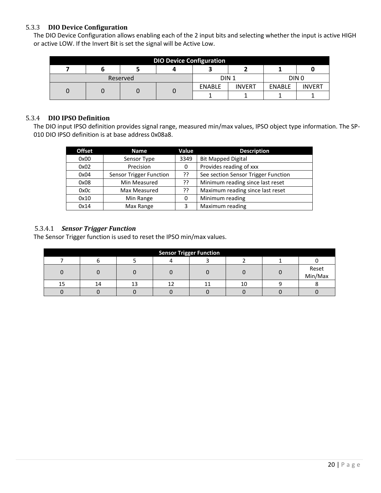#### 5.3.3 **DIO Device Configuration**

The DIO Device Configuration allows enabling each of the 2 input bits and selecting whether the input is active HIGH or active LOW. If the Invert Bit is set the signal will be Active Low.

| <b>DIO Device Configuration</b> |  |          |  |                  |               |               |                  |  |  |
|---------------------------------|--|----------|--|------------------|---------------|---------------|------------------|--|--|
|                                 |  |          |  |                  |               |               |                  |  |  |
|                                 |  | Reserved |  | DIN <sub>1</sub> |               |               | DIN <sub>0</sub> |  |  |
|                                 |  |          |  | <b>ENABLE</b>    | <b>INVERT</b> | <b>ENABLE</b> | <b>INVERT</b>    |  |  |
|                                 |  |          |  |                  |               |               |                  |  |  |

#### <span id="page-19-0"></span>5.3.4 **DIO IPSO Definition**

The DIO input IPSO definition provides signal range, measured min/max values, IPSO object type information. The SP-010 DIO IPSO definition is at base address 0x08a8.

| <b>Offset</b> | <b>Name</b>             | Value | <b>Description</b>                  |
|---------------|-------------------------|-------|-------------------------------------|
| 0x00          | Sensor Type             | 3349  | <b>Bit Mapped Digital</b>           |
| 0x02          | Precision               | 0     | Provides reading of xxx             |
| 0x04          | Sensor Trigger Function | ??    | See section Sensor Trigger Function |
| 0x08          | Min Measured            | ??    | Minimum reading since last reset    |
| 0x0c          | Max Measured            | ??    | Maximum reading since last reset    |
| 0x10          | Min Range               | 0     | Minimum reading                     |
| 0x14          | Max Range               | 3     | Maximum reading                     |

#### <span id="page-19-1"></span>5.3.4.1 *Sensor Trigger Function*

The Sensor Trigger function is used to reset the IPSO min/max values.

<span id="page-19-2"></span>

| <b>Sensor Trigger Function</b> |   |  |  |  |    |  |                  |  |  |
|--------------------------------|---|--|--|--|----|--|------------------|--|--|
|                                |   |  |  |  |    |  |                  |  |  |
|                                |   |  |  |  |    |  | Reset<br>Min/Max |  |  |
| 15                             | 4 |  |  |  | 10 |  |                  |  |  |
|                                |   |  |  |  |    |  |                  |  |  |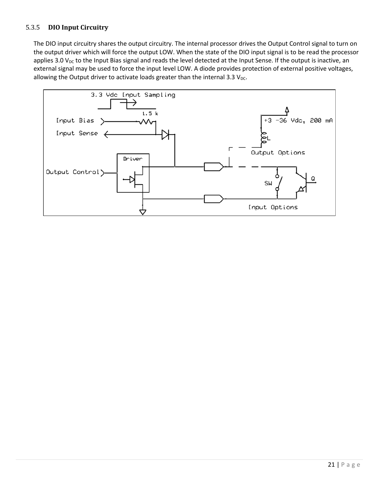#### 5.3.5 **DIO Input Circuitry**

The DIO input circuitry shares the output circuitry. The internal processor drives the Output Control signal to turn on the output driver which will force the output LOW. When the state of the DIO input signal is to be read the processor applies 3.0  $V_{DC}$  to the Input Bias signal and reads the level detected at the Input Sense. If the output is inactive, an external signal may be used to force the input level LOW. A diode provides protection of external positive voltages, allowing the Output driver to activate loads greater than the internal 3.3  $V_{DC}$ .

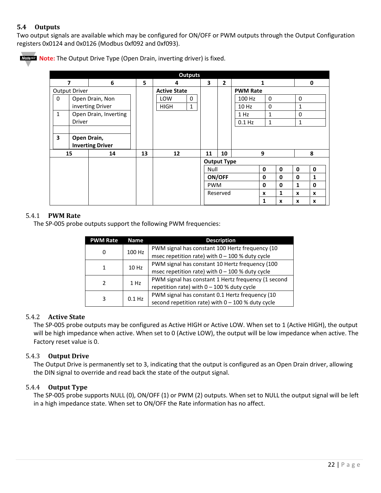#### <span id="page-21-0"></span>**5.4 Outputs**

Two output signals are available which may be configured for ON/OFF or PWM outputs through the Output Configuration registers 0x0124 and 0x0126 (Modbus 0xf092 and 0xf093).



**Note:** The Output Drive Type (Open Drain, inverting driver) is fixed.

| <b>Outputs</b>                        |               |                         |                     |                             |                 |                    |              |   |   |   |   |
|---------------------------------------|---------------|-------------------------|---------------------|-----------------------------|-----------------|--------------------|--------------|---|---|---|---|
| 6<br>7                                |               | 5                       | 4                   | 3                           | $\overline{2}$  | 1                  |              |   | 0 |   |   |
| Output Driver                         |               |                         | <b>Active State</b> |                             | <b>PWM Rate</b> |                    |              |   |   |   |   |
| $\mathbf 0$                           |               | Open Drain, Non         |                     | LOW<br>0                    |                 |                    | 100 Hz       | 0 |   | 0 |   |
|                                       |               | inverting Driver        |                     | $\mathbf{1}$<br><b>HIGH</b> |                 |                    | 10 Hz        | 0 |   | 1 |   |
| $\mathbf{1}$<br>Open Drain, Inverting |               |                         |                     |                             |                 | 1 Hz               | $\mathbf{1}$ |   | 0 |   |   |
|                                       | <b>Driver</b> |                         |                     |                             |                 |                    | $0.1$ Hz     | 1 |   | 1 |   |
|                                       |               |                         |                     |                             |                 |                    |              |   |   |   |   |
| 3<br>Open Drain,                      |               |                         |                     |                             |                 |                    |              |   |   |   |   |
|                                       |               | <b>Inverting Driver</b> |                     |                             |                 |                    |              |   |   |   |   |
| 15                                    |               | 14                      | 13                  | 12                          | 11              | 10                 | 9            |   |   | 8 |   |
|                                       |               |                         |                     |                             |                 | <b>Output Type</b> |              |   |   |   |   |
|                                       |               |                         |                     |                             | Null            |                    |              | 0 | 0 | 0 | 0 |
|                                       |               |                         |                     |                             |                 | ON/OFF             |              | 0 | 0 | 0 | 1 |
|                                       |               |                         |                     |                             | <b>PWM</b>      |                    |              | 0 | 0 | 1 | 0 |
|                                       |               |                         |                     |                             |                 | Reserved           |              | X | 1 | X | x |
|                                       |               |                         |                     |                             |                 |                    |              | 1 | X | X | x |

#### <span id="page-21-1"></span>5.4.1 **PWM Rate**

The SP-005 probe outputs support the following PWM frequencies:

| <b>PWM Rate</b> | <b>Name</b> | <b>Description</b>                                                                                     |  |  |
|-----------------|-------------|--------------------------------------------------------------------------------------------------------|--|--|
| 100 Hz<br>0     |             | PWM signal has constant 100 Hertz frequency (10<br>msec repetition rate) with $0 - 100$ % duty cycle   |  |  |
| 1               | 10 Hz       | PWM signal has constant 10 Hertz frequency (100<br>msec repetition rate) with $0 - 100$ % duty cycle   |  |  |
| $\mathcal{P}$   | 1 Hz        | PWM signal has constant 1 Hertz frequency (1 second<br>repetition rate) with $0 - 100$ % duty cycle    |  |  |
| 3<br>$0.1$ Hz   |             | PWM signal has constant 0.1 Hertz frequency (10<br>second repetition rate) with $0 - 100$ % duty cycle |  |  |

#### <span id="page-21-2"></span>5.4.2 **Active State**

The SP-005 probe outputs may be configured as Active HIGH or Active LOW. When set to 1 (Active HIGH), the output will be high impedance when active. When set to 0 (Active LOW), the output will be low impedance when active. The Factory reset value is 0.

#### <span id="page-21-3"></span>5.4.3 **Output Drive**

The Output Drive is permanently set to 3, indicating that the output is configured as an Open Drain driver, allowing the DIN signal to override and read back the state of the output signal.

#### <span id="page-21-4"></span>5.4.4 **Output Type**

The SP-005 probe supports NULL (0), ON/OFF (1) or PWM (2) outputs. When set to NULL the output signal will be left in a high impedance state. When set to ON/OFF the Rate information has no affect.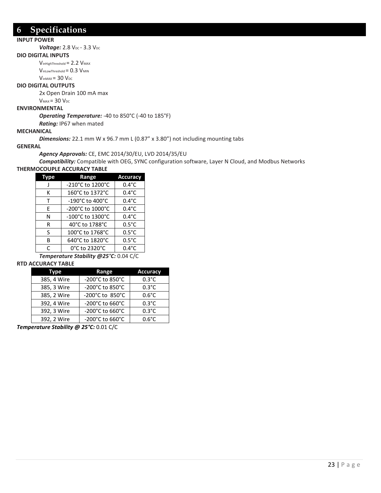## <span id="page-22-0"></span>**6 Specifications**

#### **INPUT POWER**

*Voltage:* 2.8 V<sub>DC</sub> - 3.3 V<sub>DC</sub>

#### **DIO DIGITAL INPUTS**

 $V_{inHighThreshold} = 2.2 V_{MAX}$  $V_{\text{inLowThreshold}} = 0.3 V_{\text{MIN}}$ 

 $V_{inMAX}$  = 30  $V_{DC}$ 

#### **DIO DIGITAL OUTPUTS**

2x Open Drain 100 mA max

 $V_{MAX} = 30 V_{DC}$ 

#### **ENVIRONMENTAL**

*Operating Temperature:* -40 to 850°C (-40 to 185°F)

*Rating:* IP67 when mated

#### **MECHANICAL**

*Dimensions:* 22.1 mm W x 96.7 mm L (0.87" x 3.80") not including mounting tabs

#### **GENERAL**

#### *Agency Approvals:* CE, EMC 2014/30/EU, LVD 2014/35/EU

*Compatibility:* Compatible with OEG, SYNC configuration software, Layer N Cloud, and Modbus Networks **THERMOCOUPLE ACCURACY TABLE**

| рe | Range            | <b>Accuracy</b> |
|----|------------------|-----------------|
|    | -210°C to 1200°C | $0.4^{\circ}$ C |
| К  | 160°C to 1372°C  | $0.4^{\circ}$ C |
| т  | -190°C to 400°C  | $0.4^{\circ}$ C |
| F  | -200°C to 1000°C | $0.4^{\circ}$ C |
| N  | -100°C to 1300°C | $0.4^{\circ}$ C |
| R  | 40°C to 1788°C   | $0.5^{\circ}$ C |
| S  | 100°C to 1768°C  | $0.5^{\circ}$ C |
| R  | 640°C to 1820°C  | $0.5^{\circ}$ C |
|    | 0°C to 2320°C    | $0.4^{\circ}$ C |

*Temperature Stability @25°C:* 0.04 C/C

#### **RTD ACCURACY TABLE**

| Type        | Range           | <b>Accuracy</b> |
|-------------|-----------------|-----------------|
| 385, 4 Wire | -200°C to 850°C | $0.3^{\circ}$ C |
| 385, 3 Wire | -200°C to 850°C | $0.3^{\circ}$ C |
| 385, 2 Wire | -200°C to 850°C | $0.6^{\circ}$ C |
| 392, 4 Wire | -200°C to 660°C | $0.3^{\circ}$ C |
| 392, 3 Wire | -200°C to 660°C | $0.3^{\circ}$ C |
| 392, 2 Wire | -200°C to 660°C | $0.6^{\circ}$ C |

*Temperature Stability @ 25°C:* 0.01 C/C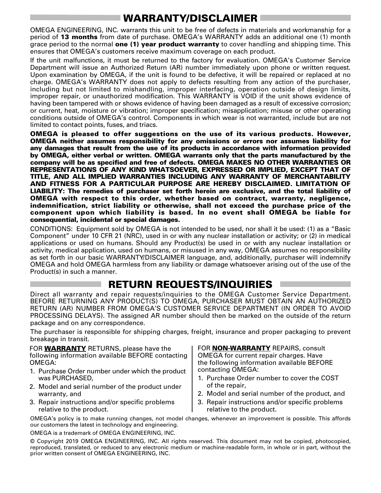## WARRANTY/DISCLAIMER

OMEGA ENGINEERING, INC. warrants this unit to be free of defects in materials and workmanship for a period of 13 months from date of purchase. OMEGA's WARRANTY adds an additional one (1) month grace period to the normal **one (1) year product warranty** to cover handling and shipping time. This ensures that OMEGA's customers receive maximum coverage on each product.

If the unit malfunctions, it must be returned to the factory for evaluation. OMEGA's Customer Service Department will issue an Authorized Return (AR) number immediately upon phone or written request. Upon examination by OMEGA, if the unit is found to be defective, it will be repaired or replaced at no charge. OMEGA's WARRANTY does not apply to defects resulting from any action of the purchaser, including but not limited to mishandling, improper interfacing, operation outside of design limits, improper repair, or unauthorized modification. This WARRANTY is VOID if the unit shows evidence of having been tampered with or shows evidence of having been damaged as a result of excessive corrosion; or current, heat, moisture or vibration; improper specification; misapplication; misuse or other operating conditions outside of OMEGA's control. Components in which wear is not warranted, include but are not limited to contact points, fuses, and triacs.

OMEGA is pleased to offer suggestions on the use of its various products. However, OMEGA neither assumes responsibility for any omissions or errors nor assumes liability for any damages that result from the use of its products in accordance with information provided by OMEGA, either verbal or written. OMEGA warrants only that the parts manufactured by the company will be as specified and free of defects. OMEGA MAKES NO OTHER WARRANTIES OR REPRESENTATIONS OF ANY KIND WHATSOEVER, EXPRESSED OR IMPLIED, EXCEPT THAT OF TITLE, AND ALL IMPLIED WARRANTIES INCLUDING ANY WARRANTY OF MERCHANTABILITY AND FITNESS FOR A PARTICULAR PURPOSE ARE HEREBY DISCLAIMED. LIMITATION OF LIABILITY: The remedies of purchaser set forth herein are exclusive, and the total liability of OMEGA with respect to this order, whether based on contract, warranty, negligence, indemnification, strict liability or otherwise, shall not exceed the purchase price of the component upon which liability is based. In no event shall OMEGA be liable for consequential, incidental or special damages.

CONDITIONS: Equipment sold by OMEGA is not intended to be used, nor shall it be used: (1) as a "Basic Component" under 10 CFR 21 (NRC), used in or with any nuclear installation or activity; or (2) in medical applications or used on humans. Should any Product(s) be used in or with any nuclear installation or activity, medical application, used on humans, or misused in any way, OMEGA assumes no responsibility as set forth in our basic WARRANTY/DISCLAIMER language, and, additionally, purchaser will indemnify OMEGA and hold OMEGA harmless from any liability or damage whatsoever arising out of the use of the Product(s) in such a manner.

## RETURN REQUESTS/INQUIRIES

Direct all warranty and repair requests/inquiries to the OMEGA Customer Service Department. BEFORE RETURNING ANY PRODUCT(S) TO OMEGA, PURCHASER MUST OBTAIN AN AUTHORIZED RETURN (AR) NUMBER FROM OMEGA'S CUSTOMER SERVICE DEPARTMENT (IN ORDER TO AVOID PROCESSING DELAYS). The assigned AR number should then be marked on the outside of the return package and on any correspondence.

The purchaser is responsible for shipping charges, freight, insurance and proper packaging to prevent breakage in transit.

FOR **WARRANTY** RETURNS, please have the following information available BEFORE contacting OMEGA:

- 1. Purchase Order number under which the product was PURCHASED,
- 2. Model and serial number of the product under warranty, and
- 3. Repair instructions and/or specific problems relative to the product.

FOR **NON-WARRANTY** REPAIRS, consult OMEGA for current repair charges. Have the following information available BEFORE contacting OMEGA:

- 1. Purchase Order number to cover the COST of the repair,
- 2. Model and serial number of the product, and
- 3. Repair instructions and/or specific problems relative to the product.

OMEGA's policy is to make running changes, not model changes, whenever an improvement is possible. This affords our customers the latest in technology and engineering.

OMEGA is a trademark of OMEGA ENGINEERING, INC.

© Copyright 2019 OMEGA ENGINEERING, INC. All rights reserved. This document may not be copied, photocopied, reproduced, translated, or reduced to any electronic medium or machine-readable form, in whole or in part, without the prior written consent of OMEGA ENGINEERING, INC.